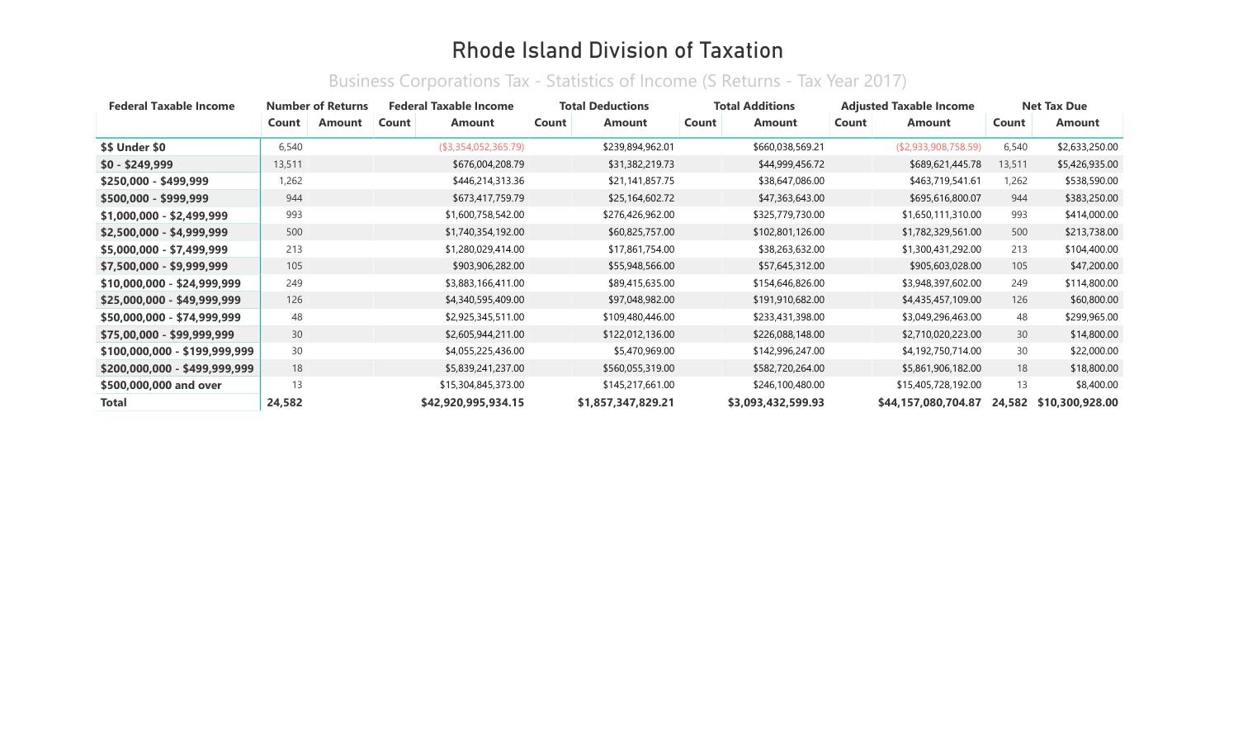| <b>Federal Taxable Income</b> | <b>Number of Returns</b> |        | <b>Federal Taxable Income</b> |                      | <b>Total Deductions</b> | <b>Total Additions</b> | <b>Adjusted Taxable Income</b> | <b>Net Tax Due</b> |                 |
|-------------------------------|--------------------------|--------|-------------------------------|----------------------|-------------------------|------------------------|--------------------------------|--------------------|-----------------|
|                               | Count                    | Amount | Count                         | <b>Amount</b>        | Count<br><b>Amount</b>  | Count<br><b>Amount</b> | Count<br><b>Amount</b>         | Count              | <b>Amount</b>   |
| <b>\$\$ Under \$0</b>         | 6,540                    |        |                               | (\$3,354,052,365.79) | \$239,894,962.01        | \$660,038,569.21       | (\$2,933,908,758.59)           | 6,540              | \$2,633,250.00  |
| $$0 - $249,999$               | 13,511                   |        |                               | \$676,004,208.79     | \$31,382,219.73         | \$44,999,456.72        | \$689,621,445.78               | 13,511             | \$5,426,935.00  |
| $$250,000 - $499,999$         | 1,262                    |        |                               | \$446,214,313.36     | \$21,141,857.75         | \$38,647,086.00        | \$463,719,541.61               | 1,262              | \$538,590.00    |
| \$500,000 - \$999,999         | 944                      |        |                               | \$673,417,759.79     | \$25,164,602.72         | \$47,363,643.00        | \$695,616,800.07               | 944                | \$383,250.00    |
| $$1,000,000 - $2,499,999$     | 993                      |        |                               | \$1,600,758,542.00   | \$276,426,962.00        | \$325,779,730.00       | \$1,650,111,310.00             | 993                | \$414,000.00    |
| \$2,500,000 - \$4,999,999     | 500                      |        |                               | \$1,740,354,192.00   | \$60,825,757.00         | \$102,801,126.00       | \$1,782,329,561.00             | 500                | \$213,738.00    |
| \$5,000,000 - \$7,499,999     | 213                      |        |                               | \$1,280,029,414.00   | \$17,861,754.00         | \$38,263,632.00        | \$1,300,431,292.00             | 213                | \$104,400.00    |
| \$7,500,000 - \$9,999,999     | 105                      |        |                               | \$903,906,282.00     | \$55,948,566.00         | \$57,645,312.00        | \$905,603,028.00               | 105                | \$47,200.00     |
| $$10,000,000 - $24,999,999$   | 249                      |        |                               | \$3,883,166,411.00   | \$89,415,635.00         | \$154,646,826.00       | \$3,948,397,602.00             | 249                | \$114,800.00    |
| \$25,000,000 - \$49,999,999   | 126                      |        |                               | \$4,340,595,409.00   | \$97,048,982.00         | \$191,910,682.00       | \$4,435,457,109.00             | 126                | \$60,800.00     |
| \$50,000,000 - \$74,999,999   | 48                       |        |                               | \$2,925,345,511.00   | \$109,480,446.00        | \$233,431,398.00       | \$3,049,296,463.00             | 48                 | \$299,965.00    |
| \$75,00,000 - \$99,999,999    | 30                       |        |                               | \$2,605,944,211.00   | \$122,012,136.00        | \$226,088,148.00       | \$2,710,020,223.00             | 30                 | \$14,800.00     |
| \$100,000,000 - \$199,999,999 | 30                       |        |                               | \$4,055,225,436.00   | \$5,470,969.00          | \$142,996,247.00       | \$4,192,750,714.00             | 30                 | \$22,000.00     |
| \$200,000,000 - \$499,999,999 | 18                       |        |                               | \$5,839,241,237.00   | \$560,055,319.00        | \$582,720,264.00       | \$5,861,906,182.00             | 18                 | \$18,800.00     |
| \$500,000,000 and over        | 13                       |        |                               | \$15,304,845,373.00  | \$145,217,661.00        | \$246,100,480.00       | \$15,405,728,192.00            | 13                 | \$8,400.00      |
| <b>Total</b>                  | 24,582                   |        |                               | \$42,920,995,934.15  | \$1,857,347,829.21      | \$3,093,432,599.93     | \$44,157,080,704.87            | 24,582             | \$10,300,928.00 |

#### Business Corporations Tax - Statistics of Income (S Returns - Tax Year 2017)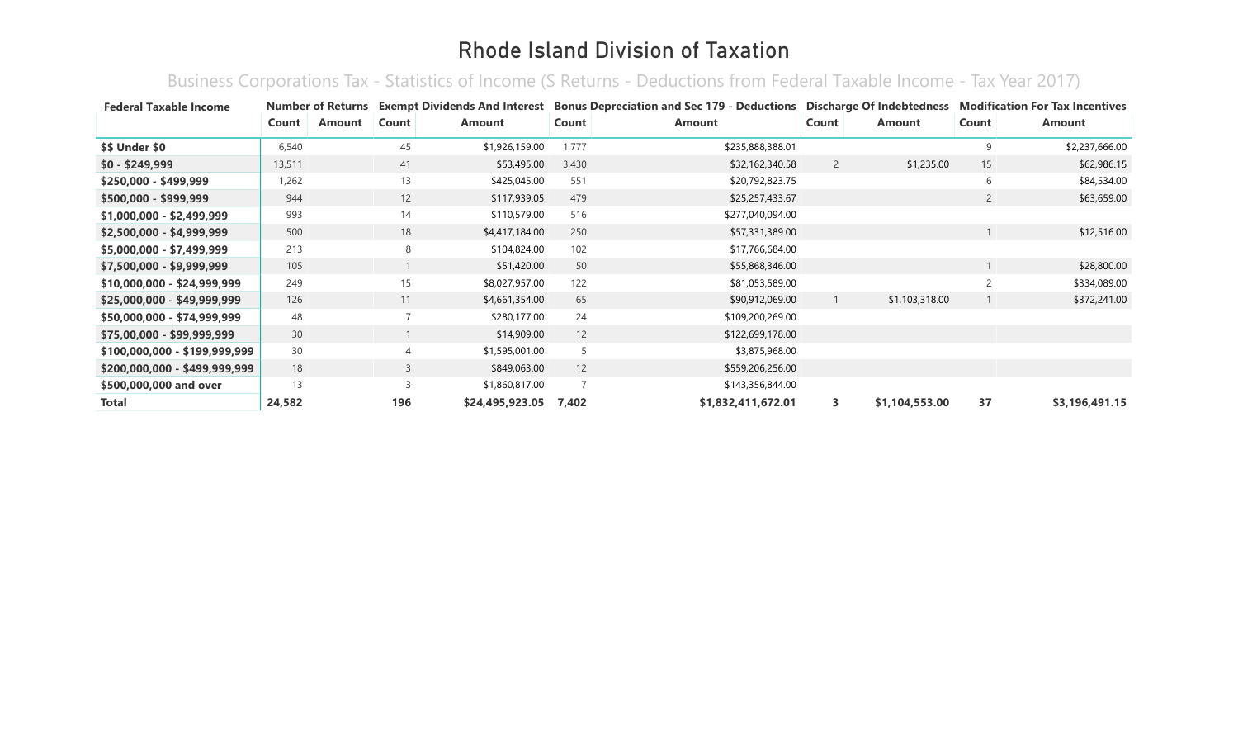Business Corporations Tax - Statistics of Income (S Returns - Deductions from Federal Taxable Income - Tax Year 2017)

| <b>Federal Taxable Income</b> | <b>Number of Returns</b> |        | <b>Exempt Dividends And Interest</b> |                 |       | <b>Bonus Depreciation and Sec 179 - Deductions Discharge Of Indebtedness</b> |                |                | <b>Modification For Tax Incentives</b> |                |
|-------------------------------|--------------------------|--------|--------------------------------------|-----------------|-------|------------------------------------------------------------------------------|----------------|----------------|----------------------------------------|----------------|
|                               | Count                    | Amount | Count                                | Amount          | Count | <b>Amount</b>                                                                | Count          | <b>Amount</b>  | Count                                  | Amount         |
| <b>\$\$ Under \$0</b>         | 6,540                    |        | 45                                   | \$1,926,159.00  | 1,777 | \$235,888,388.01                                                             |                |                | 9                                      | \$2,237,666.00 |
| $$0 - $249,999$               | 13,511                   |        | 41                                   | \$53,495.00     | 3,430 | \$32,162,340.58                                                              | $\overline{2}$ | \$1,235.00     | 15                                     | \$62,986.15    |
| \$250,000 - \$499,999         | 1,262                    |        | 13                                   | \$425,045.00    | 551   | \$20,792,823.75                                                              |                |                | 6                                      | \$84,534.00    |
| \$500,000 - \$999,999         | 944                      |        | 12                                   | \$117,939.05    | 479   | \$25,257,433.67                                                              |                |                | $\overline{2}$                         | \$63,659.00    |
| \$1,000,000 - \$2,499,999     | 993                      |        | 14                                   | \$110,579.00    | 516   | \$277,040,094.00                                                             |                |                |                                        |                |
| \$2,500,000 - \$4,999,999     | 500                      |        | 18                                   | \$4,417,184.00  | 250   | \$57,331,389.00                                                              |                |                |                                        | \$12,516.00    |
| \$5,000,000 - \$7,499,999     | 213                      |        | 8                                    | \$104,824.00    | 102   | \$17,766,684.00                                                              |                |                |                                        |                |
| \$7,500,000 - \$9,999,999     | 105                      |        |                                      | \$51,420.00     | 50    | \$55,868,346.00                                                              |                |                |                                        | \$28,800.00    |
| \$10,000,000 - \$24,999,999   | 249                      |        | 15                                   | \$8,027,957.00  | 122   | \$81,053,589.00                                                              |                |                | $\overline{c}$                         | \$334,089.00   |
| $$25,000,000 - $49,999,999$   | 126                      |        | 11                                   | \$4,661,354.00  | 65    | \$90,912,069.00                                                              |                | \$1,103,318.00 |                                        | \$372,241.00   |
| \$50,000,000 - \$74,999,999   | 48                       |        | $\overline{7}$                       | \$280,177.00    | 24    | \$109,200,269.00                                                             |                |                |                                        |                |
| \$75,00,000 - \$99,999,999    | 30                       |        |                                      | \$14,909.00     | 12    | \$122,699,178.00                                                             |                |                |                                        |                |
| \$100,000,000 - \$199,999,999 | 30                       |        | 4                                    | \$1,595,001.00  | 5     | \$3,875,968.00                                                               |                |                |                                        |                |
| \$200,000,000 - \$499,999,999 | 18                       |        | 3                                    | \$849,063.00    | 12    | \$559,206,256.00                                                             |                |                |                                        |                |
| \$500,000,000 and over        | 13                       |        | $\overline{3}$                       | \$1,860,817.00  |       | \$143,356,844.00                                                             |                |                |                                        |                |
| Total                         | 24,582                   |        | 196                                  | \$24,495,923.05 | 7,402 | \$1,832,411,672.01                                                           | 3              | \$1,104,553.00 | 37                                     | \$3,196,491.15 |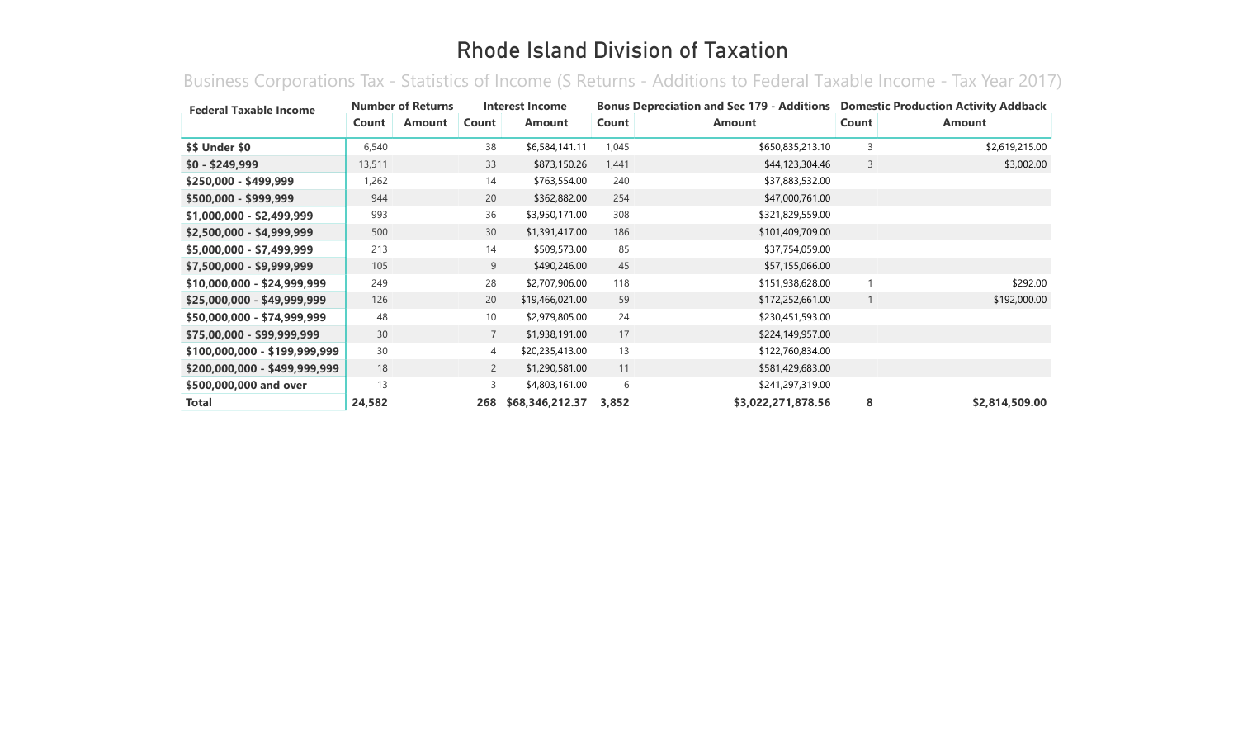Business Corporations Tax - Statistics of Income (S Returns - Additions to Federal Taxable Income - Tax Year 2017)

| <b>Federal Taxable Income</b> | <b>Number of Returns</b> |               | Interest Income |                 | Bonus Depreciation and Sec 179 - Additions  Domestic Production Activity Addback |                    |       |                |  |
|-------------------------------|--------------------------|---------------|-----------------|-----------------|----------------------------------------------------------------------------------|--------------------|-------|----------------|--|
|                               | Count                    | <b>Amount</b> | Count           | <b>Amount</b>   | Count                                                                            | <b>Amount</b>      | Count | <b>Amount</b>  |  |
| \$\$ Under \$0                | 6,540                    |               | 38              | \$6,584,141.11  | 1,045                                                                            | \$650,835,213.10   | 3     | \$2,619,215.00 |  |
| $$0 - $249,999$               | 13,511                   |               | 33              | \$873,150.26    | 1,441                                                                            | \$44,123,304.46    | 3     | \$3,002.00     |  |
| \$250,000 - \$499,999         | 1,262                    |               | 14              | \$763,554.00    | 240                                                                              | \$37,883,532.00    |       |                |  |
| \$500,000 - \$999,999         | 944                      |               | 20              | \$362,882.00    | 254                                                                              | \$47,000,761.00    |       |                |  |
| \$1,000,000 - \$2,499,999     | 993                      |               | 36              | \$3,950,171.00  | 308                                                                              | \$321,829,559.00   |       |                |  |
| \$2,500,000 - \$4,999,999     | 500                      |               | 30              | \$1,391,417.00  | 186                                                                              | \$101,409,709.00   |       |                |  |
| \$5,000,000 - \$7,499,999     | 213                      |               | 14              | \$509,573.00    | 85                                                                               | \$37,754,059.00    |       |                |  |
| \$7,500,000 - \$9,999,999     | 105                      |               | 9               | \$490,246.00    | 45                                                                               | \$57,155,066.00    |       |                |  |
| \$10,000,000 - \$24,999,999   | 249                      |               | 28              | \$2,707,906.00  | 118                                                                              | \$151,938,628.00   |       | \$292.00       |  |
| $$25,000,000 - $49,999,999$   | 126                      |               | 20              | \$19,466,021.00 | 59                                                                               | \$172,252,661.00   |       | \$192,000.00   |  |
| \$50,000,000 - \$74,999,999   | 48                       |               | 10              | \$2,979,805.00  | 24                                                                               | \$230,451,593.00   |       |                |  |
| \$75,00,000 - \$99,999,999    | 30                       |               | $\overline{7}$  | \$1,938,191.00  | 17                                                                               | \$224,149,957.00   |       |                |  |
| \$100,000,000 - \$199,999,999 | 30                       |               | 4               | \$20,235,413.00 | 13                                                                               | \$122,760,834.00   |       |                |  |
| \$200,000,000 - \$499,999,999 | 18                       |               | $\overline{2}$  | \$1,290,581.00  | 11                                                                               | \$581,429,683.00   |       |                |  |
| \$500,000,000 and over        | 13                       |               | 3               | \$4,803,161.00  | 6                                                                                | \$241,297,319.00   |       |                |  |
| <b>Total</b>                  | 24,582                   |               | 268             | \$68,346,212.37 | 3,852                                                                            | \$3,022,271,878.56 | 8     | \$2,814,509.00 |  |